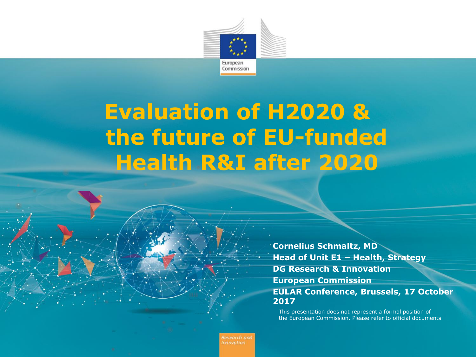

## **Evaluation of H2020 & the future of EU-funded Health R&I after 2020**

**Cornelius Schmaltz, MD Head of Unit E1 – Health, Strategy DG Research & Innovation European Commission EULAR Conference, Brussels, 17 October 2017**

This presentation does not represent a formal position of the European Commission. Please refer to official documents

Research and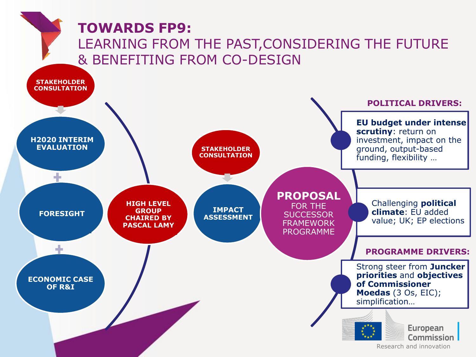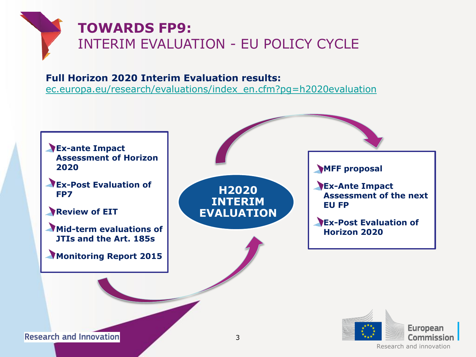### **TOWARDS FP9:**  INTERIM EVALUATION - EU POLICY CYCLE

#### **Full Horizon 2020 Interim Evaluation results:**

[ec.europa.eu/research/evaluations/index\\_en.cfm?pg=h2020evaluation](ec.europa.eu/research/evaluations/index_en.cfm?pg=h2020evaluation)



**Research and Innovation** 

Research and innovation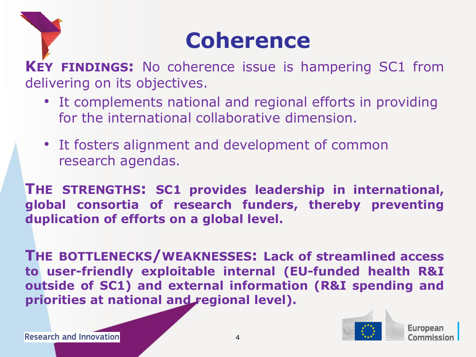# **Coherence**

**KEY FINDINGS:** No coherence issue is hampering SC1 from delivering on its objectives.

- It complements national and regional efforts in providing for the international collaborative dimension.
- It fosters alignment and development of common research agendas.

**THE STRENGTHS: SC1 provides leadership in international, global consortia of research funders, thereby preventing duplication of efforts on a global level.**

**THE BOTTLENECKS/WEAKNESSES: Lack of streamlined access to user-friendly exploitable internal (EU-funded health R&I outside of SC1) and external information (R&I spending and priorities at national and regional level).**



**Furonear**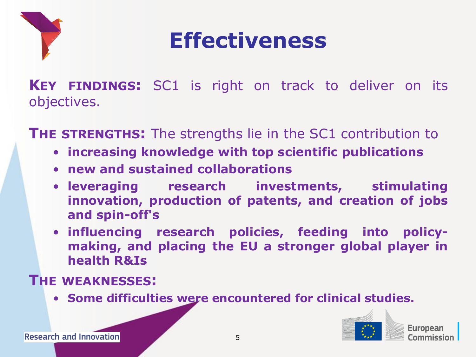

# **Effectiveness**

**KEY FINDINGS:** SC1 is right on track to deliver on its objectives.

**THE STRENGTHS:** The strengths lie in the SC1 contribution to

- **increasing knowledge with top scientific publications**
- **new and sustained collaborations**
- **leveraging research investments, stimulating innovation, production of patents, and creation of jobs and spin-off's**
- **influencing research policies, feeding into policymaking, and placing the EU a stronger global player in health R&Is**

#### **THE WEAKNESSES:**

• **Some difficulties were encountered for clinical studies.**



Europear <u>'ommicciol</u>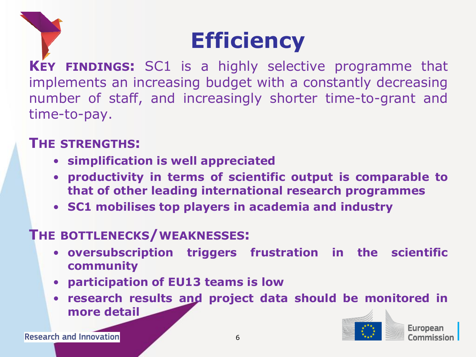# **Efficiency**

**KEY FINDINGS:** SC1 is a highly selective programme that implements an increasing budget with a constantly decreasing number of staff, and increasingly shorter time-to-grant and time-to-pay.

#### **THE STRENGTHS:**

- **simplification is well appreciated**
- **productivity in terms of scientific output is comparable to that of other leading international research programmes**
- **SC1 mobilises top players in academia and industry**

#### **THE BOTTLENECKS/WEAKNESSES:**

- **oversubscription triggers frustration in the scientific community**
- **participation of EU13 teams is low**
- **research results and project data should be monitored in more detail**

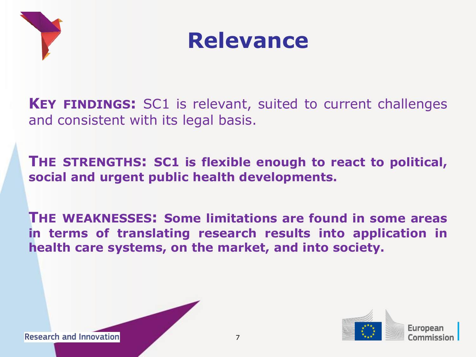



**KEY FINDINGS:** SC1 is relevant, suited to current challenges and consistent with its legal basis.

**THE STRENGTHS: SC1 is flexible enough to react to political, social and urgent public health developments.**

**THE WEAKNESSES: Some limitations are found in some areas in terms of translating research results into application in health care systems, on the market, and into society.**



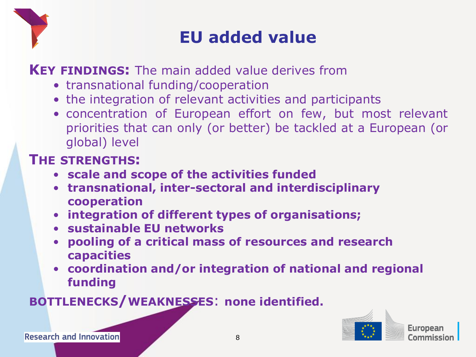

### **EU added value**

**KEY FINDINGS:** The main added value derives from

- transnational funding/cooperation
- the integration of relevant activities and participants
- concentration of European effort on few, but most relevant priorities that can only (or better) be tackled at a European (or global) level

#### **THE STRENGTHS:**

- **scale and scope of the activities funded**
- **transnational, inter-sectoral and interdisciplinary cooperation**
- **integration of different types of organisations;**
- **sustainable EU networks**
- **pooling of a critical mass of resources and research capacities**
- **coordination and/or integration of national and regional funding**

**BOTTLENECKS/WEAKNESSES**: **none identified.**



**Research and Innovation**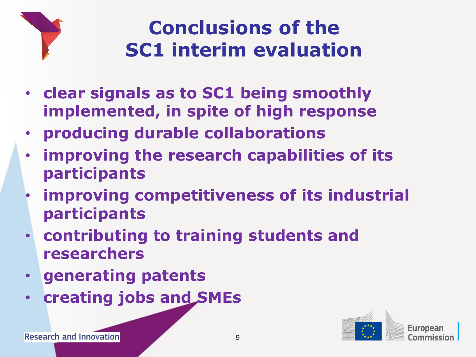

## **Conclusions of the SC1 interim evaluation**

- **clear signals as to SC1 being smoothly implemented, in spite of high response**
- **producing durable collaborations**
- **improving the research capabilities of its participants**
- **improving competitiveness of its industrial participants**
- **contributing to training students and researchers**
- **generating patents**
- **creating jobs and SMEs**

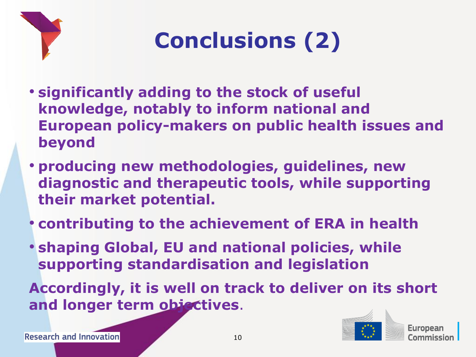

# **Conclusions (2)**

- **significantly adding to the stock of useful knowledge, notably to inform national and European policy-makers on public health issues and beyond**
- **producing new methodologies, guidelines, new diagnostic and therapeutic tools, while supporting their market potential.**
- **contributing to the achievement of ERA in health**
- **shaping Global, EU and national policies, while supporting standardisation and legislation**

**Accordingly, it is well on track to deliver on its short and longer term objectives**.

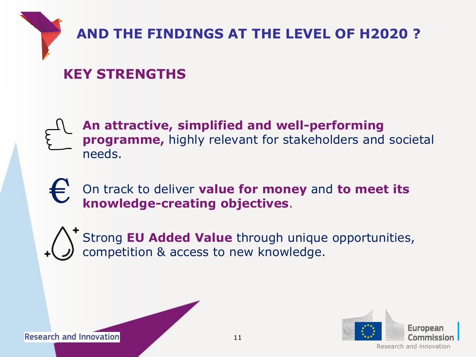

### **AND THE FINDINGS AT THE LEVEL OF H2020 ?**

### **KEY STRENGTHS**

**An attractive, simplified and well-performing programme,** highly relevant for stakeholders and societal needs.

On track to deliver **value for money** and **to meet its knowledge-creating objectives**. €

Strong **EU Added Value** through unique opportunities, competition & access to new knowledge.



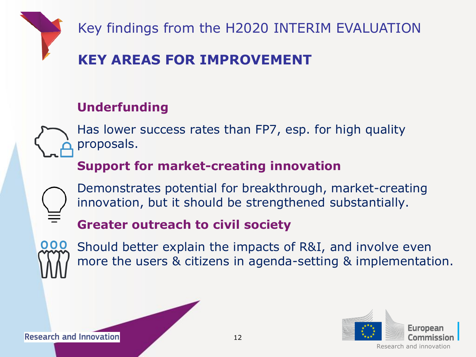

Key findings from the H2020 INTERIM EVALUATION

#### **KEY AREAS FOR IMPROVEMENT**

#### **Underfunding**

Has lower success rates than FP7, esp. for high quality proposals.

#### **Support for market-creating innovation**

Demonstrates potential for breakthrough, market-creating innovation, but it should be strengthened substantially.

#### **Greater outreach to civil society**



Should better explain the impacts of R&I, and involve even more the users & citizens in agenda-setting & implementation.



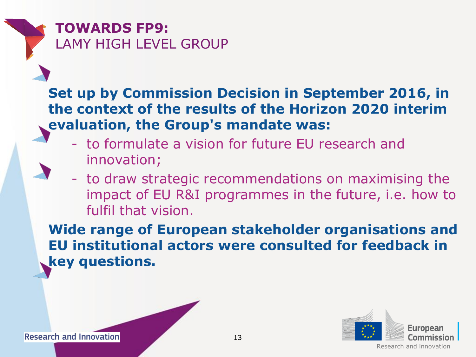**TOWARDS FP9:**  LAMY HIGH LEVEL GROUP

#### **Set up by Commission Decision in September 2016, in the context of the results of the Horizon 2020 interim evaluation, the Group's mandate was:**

- to formulate a vision for future EU research and innovation;
- to draw strategic recommendations on maximising the impact of EU R&I programmes in the future, i.e. how to fulfil that vision.

**Wide range of European stakeholder organisations and EU institutional actors were consulted for feedback in key questions.**



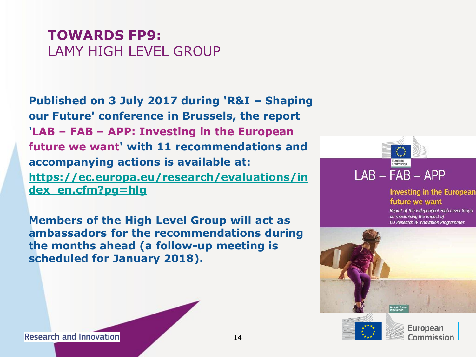#### **TOWARDS FP9:**  LAMY HIGH LEVEL GROUP

**Published on 3 July 2017 during 'R&I – Shaping our Future' conference in Brussels, the report 'LAB – FAB – APP: Investing in the European future we want' with 11 recommendations and accompanying actions is available at: [https://ec.europa.eu/research/evaluations/in](https://ec.europa.eu/research/evaluations/index_en.cfm?pg=hlg) [dex\\_en.cfm?pg=hlg](https://ec.europa.eu/research/evaluations/index_en.cfm?pg=hlg)**

**Members of the High Level Group will act as ambassadors for the recommendations during the months ahead (a follow-up meeting is scheduled for January 2018).**



#### **Investing in the European** future we want

Report of the independent High Level Group on maximising the impact of **EU Research & Innovation Programmes** 



**Research and Innovation**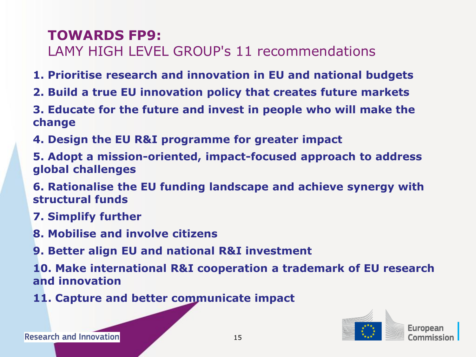#### **TOWARDS FP9:**

LAMY HIGH LEVEL GROUP's 11 recommendations

- **1. Prioritise research and innovation in EU and national budgets**
- **2. Build a true EU innovation policy that creates future markets**
- **3. Educate for the future and invest in people who will make the change**
- **4. Design the EU R&I programme for greater impact**
- **5. Adopt a mission-oriented, impact-focused approach to address global challenges**
- **6. Rationalise the EU funding landscape and achieve synergy with structural funds**
- **7. Simplify further**
- **8. Mobilise and involve citizens**
- **9. Better align EU and national R&I investment**

**10. Make international R&I cooperation a trademark of EU research and innovation**

**11. Capture and better communicate impact**



**Research and Innovation**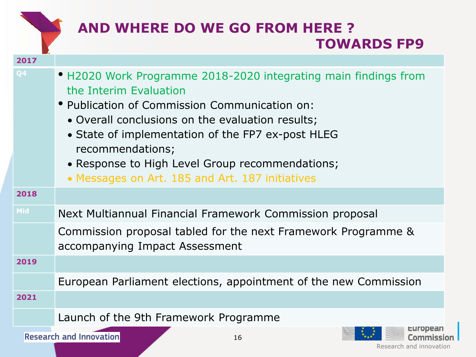|            | <b>AND WHERE DO WE GO FROM HERE?</b><br><b>TOWARDS FP9</b>                                                                                                                                                                                                                                                                                                                    |
|------------|-------------------------------------------------------------------------------------------------------------------------------------------------------------------------------------------------------------------------------------------------------------------------------------------------------------------------------------------------------------------------------|
| 2017       |                                                                                                                                                                                                                                                                                                                                                                               |
| Q4         | • H2020 Work Programme 2018-2020 integrating main findings from<br>the Interim Evaluation<br>• Publication of Commission Communication on:<br>• Overall conclusions on the evaluation results;<br>• State of implementation of the FP7 ex-post HLEG<br>recommendations;<br>• Response to High Level Group recommendations;<br>• Messages on Art. 185 and Art. 187 initiatives |
| 2018       |                                                                                                                                                                                                                                                                                                                                                                               |
| <b>Mid</b> | Next Multiannual Financial Framework Commission proposal                                                                                                                                                                                                                                                                                                                      |
|            | Commission proposal tabled for the next Framework Programme &<br>accompanying Impact Assessment                                                                                                                                                                                                                                                                               |
| 2019       |                                                                                                                                                                                                                                                                                                                                                                               |
|            | European Parliament elections, appointment of the new Commission                                                                                                                                                                                                                                                                                                              |
| 2021       |                                                                                                                                                                                                                                                                                                                                                                               |
|            | Launch of the 9th Framework Programme                                                                                                                                                                                                                                                                                                                                         |
|            | <b>Research and Innovation</b><br>16<br>Research and innovation                                                                                                                                                                                                                                                                                                               |